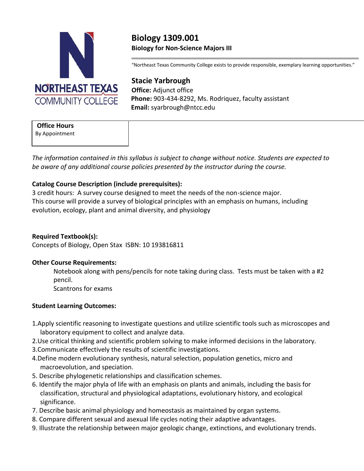

# **Biology 1309.001 BioIogy for Non-Science Majors III**

"Northeast Texas Community College exists to provide responsible, exemplary learning opportunities."

**Stacie Yarbrough Office:** Adjunct office **Phone:** 903-434-8292, Ms. Rodriquez, faculty assistant **Email:** syarbrough@ntcc.edu

## **Office Hours**

By Appointment

*The information contained in this syllabus is subject to change without notice. Students are expected to be aware of any additional course policies presented by the instructor during the course.* 

# **Catalog Course Description (include prerequisites):**

3 credit hours: A survey course designed to meet the needs of the non-science major. This course will provide a survey of biological principles with an emphasis on humans, including evolution, ecology, plant and animal diversity, and physiology

# **Required Textbook(s):**

Concepts of Biology, Open Stax ISBN: 10 193816811

#### **Other Course Requirements:**

Notebook along with pens/pencils for note taking during class. Tests must be taken with a #2 pencil.

Scantrons for exams

#### **Student Learning Outcomes:**

- 1.Apply scientific reasoning to investigate questions and utilize scientific tools such as microscopes and laboratory equipment to collect and analyze data.
- 2.Use critical thinking and scientific problem solving to make informed decisions in the laboratory.
- 3.Communicate effectively the results of scientific investigations.
- 4.Define modern evolutionary synthesis, natural selection, population genetics, micro and macroevolution, and speciation.
- 5. Describe phylogenetic relationships and classification schemes.
- 6. Identify the major phyla of life with an emphasis on plants and animals, including the basis for classification, structural and physiological adaptations, evolutionary history, and ecological significance.
- 7. Describe basic animal physiology and homeostasis as maintained by organ systems.
- 8. Compare different sexual and asexual life cycles noting their adaptive advantages.
- 9. Illustrate the relationship between major geologic change, extinctions, and evolutionary trends.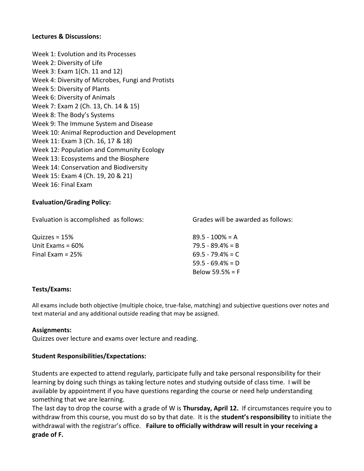#### **Lectures & Discussions:**

Week 1: Evolution and its Processes Week 2: Diversity of Life Week 3: Exam 1(Ch. 11 and 12) Week 4: Diversity of Microbes, Fungi and Protists Week 5: Diversity of Plants Week 6: Diversity of Animals Week 7: Exam 2 (Ch. 13, Ch. 14 & 15) Week 8: The Body's Systems Week 9: The Immune System and Disease Week 10: Animal Reproduction and Development Week 11: Exam 3 (Ch. 16, 17 & 18) Week 12: Population and Community Ecology Week 13: Ecosystems and the Biosphere Week 14: Conservation and Biodiversity Week 15: Exam 4 (Ch. 19, 20 & 21) Week 16: Final Exam

# **Evaluation/Grading Policy:**

Evaluation is accomplished as follows:

Grades will be awarded as follows:

| Quizzes = $15%$     | $89.5 - 100\% = A$  |
|---------------------|---------------------|
| Unit Exams $= 60\%$ | $79.5 - 89.4\% = B$ |
| Final Exam = $25%$  | $69.5 - 79.4\% = C$ |
|                     | $59.5 - 69.4\% = D$ |
|                     | Below 59.5% = $F$   |

#### **Tests/Exams:**

All exams include both objective (multiple choice, true-false, matching) and subjective questions over notes and text material and any additional outside reading that may be assigned.

#### **Assignments:**

Quizzes over lecture and exams over lecture and reading.

# **Student Responsibilities/Expectations:**

Students are expected to attend regularly, participate fully and take personal responsibility for their learning by doing such things as taking lecture notes and studying outside of class time. I will be available by appointment if you have questions regarding the course or need help understanding something that we are learning.

The last day to drop the course with a grade of W is **Thursday, April 12.** If circumstances require you to withdraw from this course, you must do so by that date. It is the **student's responsibility** to initiate the withdrawal with the registrar's office. **Failure to officially withdraw will result in your receiving a grade of F.**